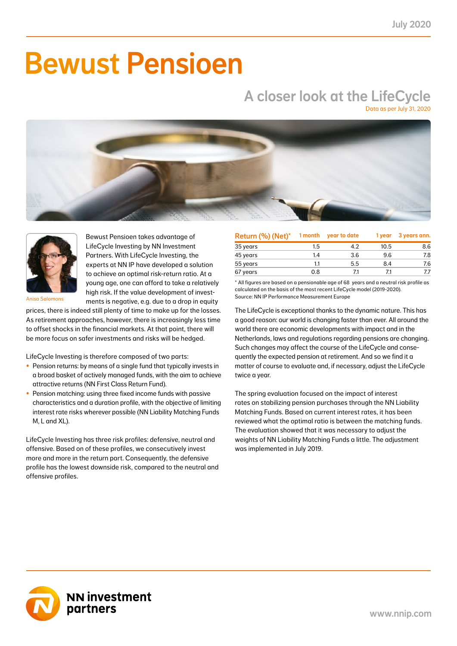# Bewust Pensioen

## A closer look at the LifeCycle

Data as per July 31, 2020





Bewust Pensioen takes advantage of LifeCycle Investing by NN Investment Partners. With LifeCycle Investing, the experts at NN IP have developed a solution to achieve an optimal risk-return ratio. At a young age, one can afford to take a relatively high risk. If the value development of investments is negative, e.g. due to a drop in equity

Anisa Salomons

prices, there is indeed still plenty of time to make up for the losses. As retirement approaches, however, there is increasingly less time to offset shocks in the financial markets. At that point, there will be more focus on safer investments and risks will be hedged.

LifeCycle Investing is therefore composed of two parts:

- Pension returns: by means of a single fund that typically invests in a broad basket of actively managed funds, with the aim to achieve attractive returns (NN First Class Return Fund).
- Pension matching: using three fixed income funds with passive characteristics and a duration profile, with the objective of limiting interest rate risks wherever possible (NN Liability Matching Funds M, L and XL).

LifeCycle Investing has three risk profiles: defensive, neutral and offensive. Based on of these profiles, we consecutively invest more and more in the return part. Consequently, the defensive profile has the lowest downside risk, compared to the neutral and offensive profiles.

| Return (%) (Net)* | 1 month | year to date | 1 year | 3 years ann. |
|-------------------|---------|--------------|--------|--------------|
| 35 years          | 1.5     | 4.2          | 10.5   | 8.6          |
| 45 years          | 1.4     | 3.6          | 9.6    | 7.8          |
| 55 years          | 1.1     | 5.5          | 8.4    | 7.6          |
| 67 years          | 0.8     | 71           | 71     |              |

\* All figures are based on a pensionable age of 68 years and a neutral risk profile as calculated on the basis of the most recent LifeCycle model (2019-2020). Source: NN IP Performance Measurement Europe

The LifeCycle is exceptional thanks to the dynamic nature. This has a good reason: our world is changing faster than ever. All around the world there are economic developments with impact and in the Netherlands, laws and regulations regarding pensions are changing. Such changes may affect the course of the LifeCycle and consequently the expected pension at retirement. And so we find it a matter of course to evaluate and, if necessary, adjust the LifeCycle twice a year.

The spring evaluation focused on the impact of interest rates on stabilizing pension purchases through the NN Liability Matching Funds. Based on current interest rates, it has been reviewed what the optimal ratio is between the matching funds. The evaluation showed that it was necessary to adjust the weights of NN Liability Matching Funds a little. The adjustment was implemented in July 2019.

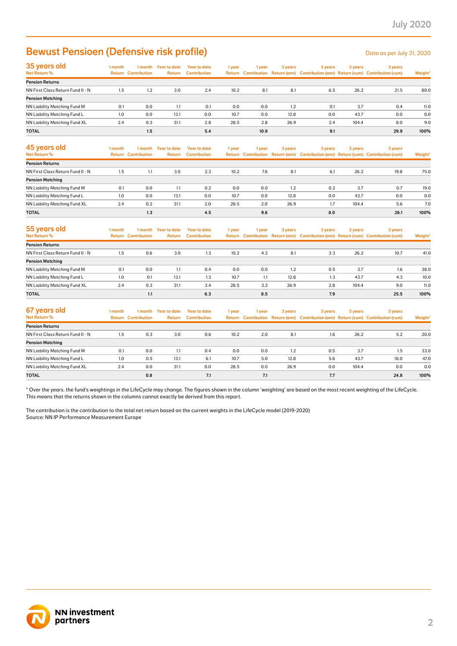### Bewust Pensioen (Defensive risk profile) Determined the Data as per July 31, 2020

| 35 years old                        | 1 month |                            | I month Year to date | Year to date        | 1 year | 1 year | 3 years | 3 years | 3 years | 3 years                                                                             |         |
|-------------------------------------|---------|----------------------------|----------------------|---------------------|--------|--------|---------|---------|---------|-------------------------------------------------------------------------------------|---------|
| Net Return %                        |         | <b>Return Contribution</b> | <b>Return</b>        | <b>Contribution</b> |        |        |         |         |         | Return Contribution Return (ann) Contribution (ann) Return (cum) Contribution (cum) | Weight* |
| <b>Pension Returns</b>              |         |                            |                      |                     |        |        |         |         |         |                                                                                     |         |
| NN First Class Return Fund II - N   | 1.5     | 1.2                        | 3.0                  | 2.4                 | 10.2   | 8.1    | 8.1     | 6.5     | 26.2    | 21.5                                                                                | 80.0    |
| <b>Pension Matching</b>             |         |                            |                      |                     |        |        |         |         |         |                                                                                     |         |
| <b>NN Liability Matching Fund M</b> | 0.1     | 0.0                        | 1.1                  | 0.1                 | 0.0    | 0.0    | 1.2     | 0.1     | 3.7     | 0.4                                                                                 | 11.0    |
| NN Liability Matching Fund L        | 1.0     | 0.0                        | 13.1                 | 0.0                 | 10.7   | 0.0    | 12.8    | 0.0     | 43.7    | 0.0                                                                                 | 0.0     |
| NN Liability Matching Fund XL       | 2.4     | 0.3                        | 31.1                 | 2.8                 | 28.5   | 2.8    | 26.9    | 2.4     | 104.4   | 8.0                                                                                 | 9.0     |
| <b>TOTAL</b>                        |         | 1.5                        |                      | 5.4                 |        | 10.9   |         | 9.1     |         | 29.9                                                                                | 100%    |

| 45 years old<br>Net Return %      | l month | 1 month<br><b>Return Contribution</b> | Year to date<br><b>Return</b> | Year to date<br><b>Contribution</b> | 1 year | 1 vear | 3 years | 3 years | 3 years | 3 years<br>Return Contribution Return (ann) Contribution (ann) Return (cum) Contribution (cum) | Weight* |
|-----------------------------------|---------|---------------------------------------|-------------------------------|-------------------------------------|--------|--------|---------|---------|---------|------------------------------------------------------------------------------------------------|---------|
| <b>Pension Returns</b>            |         |                                       |                               |                                     |        |        |         |         |         |                                                                                                |         |
| NN First Class Return Fund II - N | 1.5     | 1.1                                   | 3.0                           | 2.3                                 | 10.2   | 7.6    | 8.1     | 6.1     | 26.2    | 19.8                                                                                           | 75.0    |
| <b>Pension Matching</b>           |         |                                       |                               |                                     |        |        |         |         |         |                                                                                                |         |
| NN Liability Matching Fund M      | 0.1     | 0.0                                   | 1.1                           | 0.2                                 | 0.0    | 0.0    | 1.2     | 0.2     | 3.7     | 0.7                                                                                            | 19.0    |
| NN Liability Matching Fund L      | 1.0     | 0.0                                   | 13.1                          | 0.0                                 | 10.7   | 0.0    | 12.8    | 0.0     | 43.7    | 0.0                                                                                            | 0.0     |
| NN Liability Matching Fund XL     | 2.4     | 0.2                                   | 31.1                          | 2.0                                 | 28.5   | 2.0    | 26.9    | 1.7     | 104.4   | 5.6                                                                                            | 7.0     |
| <b>TOTAL</b>                      |         | 1.3                                   |                               | 4.5                                 |        | 9.6    |         | 8.0     |         | 26.1                                                                                           | 100%    |

| 55 years old<br>Net Return %      | l month<br>Return | 1 month<br><b>Contribution</b> | Year to date<br><b>Return</b> | Year to date<br><b>Contribution</b> | 1 year | 1 vear | 3 years | 3 years | 3 years | 3 years<br>Return Contribution Return (ann) Contribution (ann) Return (cum) Contribution (cum) | Weight* |
|-----------------------------------|-------------------|--------------------------------|-------------------------------|-------------------------------------|--------|--------|---------|---------|---------|------------------------------------------------------------------------------------------------|---------|
| <b>Pension Returns</b>            |                   |                                |                               |                                     |        |        |         |         |         |                                                                                                |         |
| NN First Class Return Fund II - N | 1.5               | 0.6                            | 3.0                           | 1.3                                 | 10.2   | 4.2    | 8.1     | 3.3     | 26.2    | 10.7                                                                                           | 41.0    |
| <b>Pension Matching</b>           |                   |                                |                               |                                     |        |        |         |         |         |                                                                                                |         |
| NN Liability Matching Fund M      | 0.1               | 0.0                            | 1.1                           | 0.4                                 | 0.0    | 0.0    | 1.2     | 0.5     | 3.7     | 1.6                                                                                            | 38.0    |
| NN Liability Matching Fund L      | 1.0               | 0.1                            | 13.1                          | 1.3                                 | 10.7   | 1.1    | 12.8    | 1.3     | 43.7    | 4.3                                                                                            | 10.0    |
| NN Liability Matching Fund XL     | 2.4               | 0.3                            | 31.1                          | 3.4                                 | 28.5   | 3.2    | 26.9    | 2.8     | 104.4   | 9.0                                                                                            | 11.0    |
| <b>TOTAL</b>                      |                   | 1.1                            |                               | 6.3                                 |        | 8.5    |         | 7.9     |         | 25.5                                                                                           | 100%    |

| 67 years old<br>Net Return %      | I month | 1 month<br><b>Return Contribution</b> | <b>Year to date</b><br>Return | Year to date<br><b>Contribution</b> | 1 year | 1 year | 3 years | 3 years | 3 years | 3 years<br>Return Contribution Return (ann) Contribution (ann) Return (cum) Contribution (cum) | Weight* |
|-----------------------------------|---------|---------------------------------------|-------------------------------|-------------------------------------|--------|--------|---------|---------|---------|------------------------------------------------------------------------------------------------|---------|
| <b>Pension Returns</b>            |         |                                       |                               |                                     |        |        |         |         |         |                                                                                                |         |
| NN First Class Return Fund II - N | 1.5     | 0.3                                   | 3.0                           | 0.6                                 | 10.2   | 2.0    | 8.1     | 1.6     | 26.2    | 5.2                                                                                            | 20.0    |
| <b>Pension Matching</b>           |         |                                       |                               |                                     |        |        |         |         |         |                                                                                                |         |
| NN Liability Matching Fund M      | 0.1     | 0.0                                   | 1.1                           | 0.4                                 | 0.0    | 0.0    | 1.2     | 0.5     | 3.7     | 1.5                                                                                            | 33.0    |
| NN Liability Matching Fund L      | 1.0     | 0.5                                   | 13.1                          | 6.1                                 | 10.7   | 5.0    | 12.8    | 5.6     | 43.7    | 18.0                                                                                           | 47.0    |
| NN Liability Matching Fund XL     | 2.4     | 0.0                                   | 31.1                          | 0.0                                 | 28.5   | 0.0    | 26.9    | 0.0     | 104.4   | 0.0                                                                                            | 0.0     |
| <b>TOTAL</b>                      |         | 0.8                                   |                               | 7.1                                 |        | 7.1    |         | 7.7     |         | 24.8                                                                                           | 100%    |

\* Over the years. the fund's weightings in the LifeCycle may change. The figures shown in the column 'weighting' are based on the most recent weighting of the LifeCycle. This means that the returns shown in the columns cannot exactly be derived from this report.

The contribution is the contribution to the total net return based on the current weights in the LifeCycle model (2019-2020) Source: NN IP Performance Measurement Europe

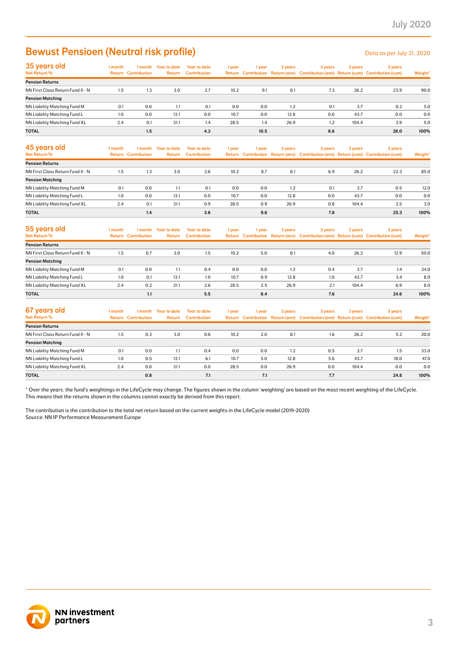### Bewust Pensioen (Neutral risk profile) Data as per July 31, 2020

| 35 years old                      | 1 month | l month                    | Year to date | Year to date        | 1 year | l year | 3 years | 3 years | 3 years | 3 years                                                                             |         |
|-----------------------------------|---------|----------------------------|--------------|---------------------|--------|--------|---------|---------|---------|-------------------------------------------------------------------------------------|---------|
| Net Return %                      |         | <b>Return Contribution</b> | Return       | <b>Contribution</b> |        |        |         |         |         | Return Contribution Return (ann) Contribution (ann) Return (cum) Contribution (cum) | Weight* |
| <b>Pension Returns</b>            |         |                            |              |                     |        |        |         |         |         |                                                                                     |         |
| NN First Class Return Fund II - N | 1.5     | 1.3                        | 3.0          | 2.7                 | 10.2   | 9.1    | 8.1     | 7.3     | 26.2    | 23.9                                                                                | 90.0    |
| <b>Pension Matching</b>           |         |                            |              |                     |        |        |         |         |         |                                                                                     |         |
| NN Liability Matching Fund M      | 0.1     | 0.0                        | 1.1          | 0.1                 | 0.0    | 0.0    | 1.2     | 0.1     | 3.7     | 0.2                                                                                 | 5.0     |
| NN Liability Matching Fund L      | 1.0     | 0.0                        | 13.1         | 0.0                 | 10.7   | 0.0    | 12.8    | 0.0     | 43.7    | 0.0                                                                                 | 0.0     |
| NN Liability Matching Fund XL     | 2.4     | 0.1                        | 31.1         | 1.4                 | 28.5   | 1.4    | 26.9    | 1.2     | 104.4   | 3.9                                                                                 | 5.0     |
| <b>TOTAL</b>                      |         | 1.5                        |              | 4.2                 |        | 10.5   |         | 8.6     |         | 28.0                                                                                | 100%    |

| 45 years old<br>Net Return %      | 1 month | 1 month<br><b>Return Contribution</b> | Year to date<br><b>Return</b> | Year to date<br><b>Contribution</b> | 1 year | 1 vear | 3 years | 3 years | 3 years | 3 years<br>Return Contribution Return (ann) Contribution (ann) Return (cum) Contribution (cum) | Weight* |
|-----------------------------------|---------|---------------------------------------|-------------------------------|-------------------------------------|--------|--------|---------|---------|---------|------------------------------------------------------------------------------------------------|---------|
| <b>Pension Returns</b>            |         |                                       |                               |                                     |        |        |         |         |         |                                                                                                |         |
| NN First Class Return Fund II - N | 1.5     | 1.3                                   | 3.0                           | 2.6                                 | 10.2   | 8.7    | 8.1     | 6.9     | 26.2    | 22.3                                                                                           | 85.0    |
| <b>Pension Matching</b>           |         |                                       |                               |                                     |        |        |         |         |         |                                                                                                |         |
| NN Liability Matching Fund M      | 0.1     | 0.0                                   | 1.1                           | 0.1                                 | 0.0    | 0.0    | 1.2     | 0.1     | 3.7     | 0.5                                                                                            | 12.0    |
| NN Liability Matching Fund L      | 1.0     | 0.0                                   | 13.1                          | 0.0                                 | 10.7   | 0.0    | 12.8    | 0.0     | 43.7    | 0.0                                                                                            | 0.0     |
| NN Liability Matching Fund XL     | 2.4     | 0.1                                   | 31.1                          | 0.9                                 | 28.5   | 0.9    | 26.9    | 0.8     | 104.4   | 2.5                                                                                            | 3.0     |
| <b>TOTAL</b>                      |         | 1.4                                   |                               | 3.6                                 |        | 9.6    |         | 7.8     |         | 25.3                                                                                           | 100%    |

| 55 years old<br><b>Net Return %</b> | l month | 1 month<br><b>Return Contribution</b> | <b>Year to date</b><br>Return | <b>Year to date</b><br><b>Contribution</b> | 1 year | 1 year | 3 years | 3 years | 3 years | 3 years<br>Return Contribution Return (ann) Contribution (ann) Return (cum) Contribution (cum) | Weight* |
|-------------------------------------|---------|---------------------------------------|-------------------------------|--------------------------------------------|--------|--------|---------|---------|---------|------------------------------------------------------------------------------------------------|---------|
| <b>Pension Returns</b>              |         |                                       |                               |                                            |        |        |         |         |         |                                                                                                |         |
| NN First Class Return Fund II - N   | 1.5     | 0.7                                   | 3.0                           | 1.5                                        | 10.2   | 5.0    | 8.1     | 4.0     | 26.2    | 12.9                                                                                           | 50.0    |
| <b>Pension Matching</b>             |         |                                       |                               |                                            |        |        |         |         |         |                                                                                                |         |
| NN Liability Matching Fund M        | 0.1     | 0.0                                   | 1.1                           | 0.4                                        | 0.0    | 0.0    | 1.2     | 0.4     | 3.7     | 1.4                                                                                            | 34.0    |
| NN Liability Matching Fund L        | 1.0     | 0.1                                   | 13.1                          | 1.0                                        | 10.7   | 0.9    | 12.8    | 1.0     | 43.7    | 3.4                                                                                            | 8.0     |
| NN Liability Matching Fund XL       | 2.4     | 0.2                                   | 31.1                          | 2.6                                        | 28.5   | 2.5    | 26.9    | 2.1     | 104.4   | 6.9                                                                                            | 8.0     |
| <b>TOTAL</b>                        |         | 1.1                                   |                               | 5.5                                        |        | 8.4    |         | 7.6     |         | 24.6                                                                                           | 100%    |

| 67 years old<br>Net Return %      | 1 month | 1 month<br><b>Return Contribution</b> | Year to date<br>Return | Year to date<br><b>Contribution</b> | 1 year | 1 year | 3 years | 3 years | 3 years | 3 years<br>Return Contribution Return (ann) Contribution (ann) Return (cum) Contribution (cum) | Weight* |
|-----------------------------------|---------|---------------------------------------|------------------------|-------------------------------------|--------|--------|---------|---------|---------|------------------------------------------------------------------------------------------------|---------|
| <b>Pension Returns</b>            |         |                                       |                        |                                     |        |        |         |         |         |                                                                                                |         |
| NN First Class Return Fund II - N | 1.5     | 0.3                                   | 3.0                    | 0.6                                 | 10.2   | 2.0    | 8.1     | 1.6     | 26.2    | 5.2                                                                                            | 20.0    |
| <b>Pension Matching</b>           |         |                                       |                        |                                     |        |        |         |         |         |                                                                                                |         |
| NN Liability Matching Fund M      | 0.1     | 0.0                                   | 1.1                    | 0.4                                 | 0.0    | 0.0    | 1.2     | 0.5     | 3.7     | 1.5                                                                                            | 33.0    |
| NN Liability Matching Fund L      | 1.0     | 0.5                                   | 13.1                   | 6.1                                 | 10.7   | 5.0    | 12.8    | 5.6     | 43.7    | 18.0                                                                                           | 47.0    |
| NN Liability Matching Fund XL     | 2.4     | 0.0                                   | 31.1                   | 0.0                                 | 28.5   | 0.0    | 26.9    | 0.0     | 104.4   | 0.0                                                                                            | 0.0     |
| <b>TOTAL</b>                      |         | 0.8                                   |                        | 7.1                                 |        | 7.1    |         | 7.7     |         | 24.8                                                                                           | 100%    |

\* Over the years. the fund's weightings in the LifeCycle may change. The figures shown in the column 'weighting' are based on the most recent weighting of the LifeCycle. This means that the returns shown in the columns cannot exactly be derived from this report.

The contribution is the contribution to the total net return based on the current weights in the LifeCycle model (2019-2020) Source: NN IP Performance Measurement Europe